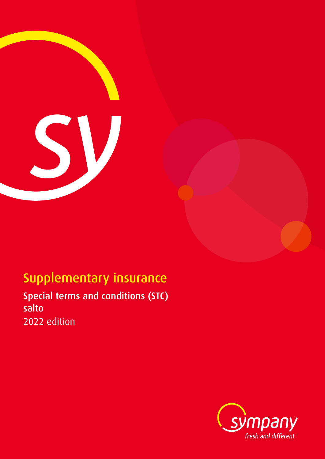

# Supplementary insurance

Special terms and conditions (STC) salto 2022 edition

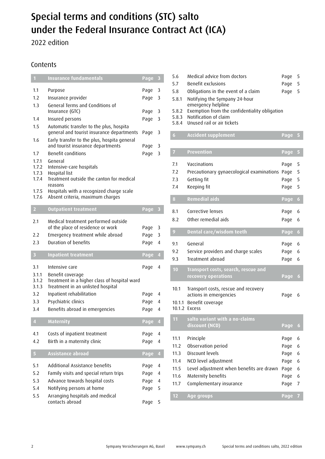# Special terms and conditions (STC) salto under the Federal Insurance Contract Act (ICA)

2022 edition

# Contents

| $\mathbf{1}$                                       | <b>Insurance fundamentals</b>                                                                                                                                                               | Page                         | $\overline{\mathbf{3}}$  |
|----------------------------------------------------|---------------------------------------------------------------------------------------------------------------------------------------------------------------------------------------------|------------------------------|--------------------------|
| 1.1<br>1.2<br>1.3                                  | Purpose<br>Insurance provider                                                                                                                                                               | Page<br>Page                 | 3<br>3                   |
| 1.4                                                | General Terms and Conditions of<br>Insurance (GTC)<br>Insured persons                                                                                                                       | Page<br>Page                 | 3<br>3                   |
| 1.5                                                | Automatic transfer to the plus, hospita<br>general and tourist insurance departments                                                                                                        | Page                         | 3                        |
| 1.6<br>1.7                                         | Early transfer to the plus, hospita general<br>and tourist insurance departments<br><b>Benefit conditions</b>                                                                               | Page<br>Page                 | 3<br>3                   |
| 1.7.1<br>1.7.2<br>1.7.3<br>1.7.4<br>1.7.5<br>1.7.6 | General<br>Intensive-care hospitals<br>Hospital list<br>Treatment outside the canton for medical<br>reasons<br>Hospitals with a recognized charge scale<br>Absent criteria, maximum charges |                              |                          |
| $\overline{2}$                                     | <b>Outpatient treatment</b>                                                                                                                                                                 | Page                         | $\overline{\mathbf{3}}$  |
| 2.1<br>2.2                                         | Medical treatment performed outside<br>of the place of residence or work<br>Emergency treatment while abroad                                                                                | Page<br>Page                 | 3<br>3                   |
| 2.3                                                | <b>Duration of benefits</b>                                                                                                                                                                 | Page                         | 4                        |
| 3                                                  | <b>Inpatient treatment</b>                                                                                                                                                                  | Page                         | $\overline{4}$           |
| 3.1<br>3.1.1<br>3.1.2<br>3.1.3                     | Intensive care<br>Benefit coverage<br>Treatment in a higher class of hospital ward<br>Treatment in an unlisted hospital                                                                     | Page                         | 4                        |
| 3.2                                                | Inpatient rehabilitation                                                                                                                                                                    | Page                         | 4                        |
| 3.3<br>3.4                                         | Psychiatric clinics<br>Benefits abroad in emergencies                                                                                                                                       | Page<br>Page                 | 4<br>4                   |
| $\overline{4}$                                     | <b>Maternity</b>                                                                                                                                                                            | Page                         | $\overline{\mathcal{A}}$ |
| 4.1<br>4.2                                         | Costs of inpatient treatment<br>Birth in a maternity clinic                                                                                                                                 | Page<br>Page                 | 4<br>4                   |
| $\overline{\mathbf{5}}$                            | Assistance abroad                                                                                                                                                                           | Page                         | $\overline{4}$           |
| 5.1<br>5.2<br>5.3<br>5.4<br>5.5                    | Additional Assistance benefits<br>Family visits and special return trips<br>Advance towards hospital costs<br>Notifying persons at home<br>Arranging hospitals and medical                  | Page<br>Page<br>Page<br>Page | 4<br>4<br>4<br>5         |

| 5.6<br>5.7<br>5.8<br>5.8.1<br>5.8.2<br>5.8.3<br>5.8.4 | Medical advice from doctors<br>Benefit exclusions<br>Obligations in the event of a claim<br>Notifying the Sympany 24-hour<br>emergency helpline<br>Exemption from the confidentiality obligation<br>Notification of claim<br>Unused rail or air tickets | Page<br>Page<br>Page                                 | 5<br>5<br>5                     |
|-------------------------------------------------------|---------------------------------------------------------------------------------------------------------------------------------------------------------------------------------------------------------------------------------------------------------|------------------------------------------------------|---------------------------------|
| 6                                                     | <b>Accident supplement</b>                                                                                                                                                                                                                              | Page                                                 | 5                               |
| $\overline{I}$                                        | <b>Prevention</b>                                                                                                                                                                                                                                       | Page                                                 | 5                               |
| 7.1<br>7.2<br>7.3<br>7.4                              | Vaccinations<br>Precautionary gynaecological examinations<br>Getting fit<br>Keeping fit                                                                                                                                                                 | Page<br>Page<br>Page<br>Page                         | 5<br>5<br>5<br>5                |
| 8                                                     | <b>Remedial aids</b>                                                                                                                                                                                                                                    | Page                                                 | 6                               |
| 8.1<br>8.2                                            | Corrective lenses<br>Other remedial aids                                                                                                                                                                                                                | Page<br>Page                                         | 6<br>6                          |
| 9                                                     | Dental care/wisdom teeth                                                                                                                                                                                                                                | Page                                                 | 6                               |
| 9.1<br>9.2<br>9.3                                     | General<br>Service providers and charge scales<br>Treatment abroad                                                                                                                                                                                      | Page<br>Page<br>Page                                 | 6<br>6<br>6                     |
| 10                                                    | <b>Transport costs, search, rescue and</b><br>recovery operations                                                                                                                                                                                       | Page                                                 | 6                               |
| 10.1<br>10.1.1                                        | Transport costs, rescue and recovery<br>actions in emergencies<br>Benefit coverage<br>10.1.2 Excess                                                                                                                                                     | Page                                                 | 6                               |
| 11                                                    | salto variant with a no-claims<br>discount (NCD)                                                                                                                                                                                                        | Page                                                 | 6                               |
| 11.1<br>11.2<br>11.3<br>11.4<br>11.5<br>11.6<br>11.7  | Principle<br>Observation period<br>Discount levels<br>NCD level adjustment<br>Level adjustment when benefits are drawn<br>Maternity benefits<br>Complementary insurance                                                                                 | Page<br>Page<br>Page<br>Page<br>Page<br>Page<br>Page | 6<br>6<br>6<br>6<br>6<br>6<br>7 |
| 12                                                    | Age groups                                                                                                                                                                                                                                              | Page                                                 | 7                               |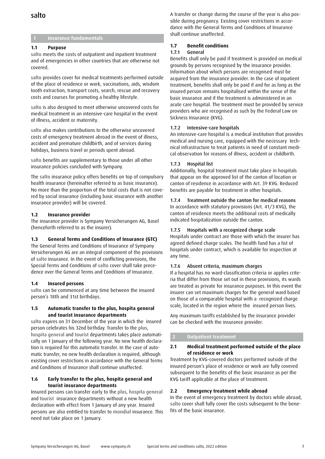# salto

## **1 Insurance fundamentals**

## **1.1 Purpose**

salto meets the costs of outpatient and inpatient treatment and of emergencies in other countries that are otherwise not covered.

salto provides cover for medical treatments performed outside of the place of residence or work, vaccinations, aids, wisdom tooth extraction, transport costs, search, rescue and recovery costs and courses for promoting a healthy lifestyle.

salto is also designed to meet otherwise uncovered costs for medical treatment in an intensive-care hospital in the event of illness, accident or maternity.

salto also makes contributions to the otherwise uncovered costs of emergency treatment abroad in the event of illness, accident and premature childbirth, and of services during holidays, business travel or periods spent abroad.

salto benefits are supplementary to those under all other insurance policies concluded with Sympany.

The salto insurance policy offers benefits on top of compulsory health insurance (hereinafter referred to as basic insurance). No more than the proportion of the total costs that is not covered by social insurance (including basic insurance with another insurance provider) will be covered.

## **1.2 Insurance provider**

The insurance provider is Sympany Versicherungen AG, Basel (henceforth referred to as the insurer).

## **1.3 General Terms and Conditions of Insurance (GTC)**

The General Terms and Conditions of Insurance of Sympany Versicherungen AG are an integral component of the provisions of salto insurance. In the event of conflicting provisions, the Special Terms and Conditions of salto cover shall take precedence over the General Terms and Conditions of Insurance.

## **1.4 Insured persons**

salto can be commenced at any time between the insured person's 18th and 31st birthdays.

### **1.5 Automatic transfer to the plus, hospita general and tourist insurance departments**

salto expires on 31 December of the year in which the insured person celebrates his 32nd birthday. Transfer to the plus, hospita general and tourist departments takes place automatically on 1 January of the following year. No new health declaration is required for this automatic transfer. In the case of automatic transfer, no new health declaration is required, although existing cover restrictions in accordance with the General Terms and Conditions of Insurance shall continue unaffected.

## **1.6 Early transfer to the plus, hospita general and tourist insurance departments**

Insured persons can transfer early to the plus, hospita general and tourist insurance departments without a new health declaration with effect from 1 January of any year. Insured persons are also entitled to transfer to mondial insurance. This need not take place on 1 January.

A transfer or change during the course of the year is also possible during pregnancy. Existing cover restrictions in accordance with the General Terms and Conditions of Insurance shall continue unaffected.

## **1.7 Benefit conditions**

## 1.7.1 General

Benefits shall only be paid if treatment is provided on medical grounds by persons recognised by the insurance provider. Information about which persons are recognised must be acquired from the insurance provider. In the case of inpatient treatment, benefits shall only be paid if and for as long as the insured person remains hospitalised within the sense of the basic insurance and if the treatment is administered in an acute care hospital. The treatment must be provided by service providers who are recognised as such by the Federal Law on Sickness Insurance (KVG).

## 1.7.2 Intensive-care hospitals

An intensive-care hospital is a medical institution that provides medical and nursing care, equipped with the necessary technical infrastructure to treat patients in need of constant medical observation for reasons of illness, accident or childbirth.

## 1.7.3 Hospital list

Additionally, hospital treatment must take place in hospitals that appear on the approved list of the canton of location or canton of residence in accordance with Art. 39 KVG. Reduced benefits are payable for treatment in other hospitals.

## 1.7.4 Treatment outside the canton for medical reasons

In accordance with statutory provisions (Art. 41/3 KVG), the canton of residence meets the additional costs of medically indicated hospitalization outside the canton.

## 1.7.5 Hospitals with a recognized charge scale

Hospitals under contract are those with which the insurer has agreed defined charge scales. The health fund has a list of hospitals under contract, which is available for inspection at any time.

## 1.7.6 Absent criteria, maximum charges

If a hospital has no ward-classification criteria or applies criteria that differ from those set out in these provisions, its wards are treated as private for insurance purposes. In this event the insurer can set maximum charges for the general ward based on those of a comparable hospital with a recognized charge scale, located in the region where the insured person lives.

Any maximum tariffs established by the insurance provider can be checked with the insurance provider.

## **2 Outpatient treatment**

## **2.1 Medical treatment performed outside of the place of residence or work**

Treatment by KVG-covered doctors performed outside of the insured person's place of residence or work are fully covered subsequent to the benefits of the basic insurance as per the KVG tariff applicable at the place of treatment.

## **2.2 Emergency treatment while abroad**

In the event of emergency treatment by doctors while abroad, salto cover shall fully cover the costs subsequent to the benefits of the basic insurance.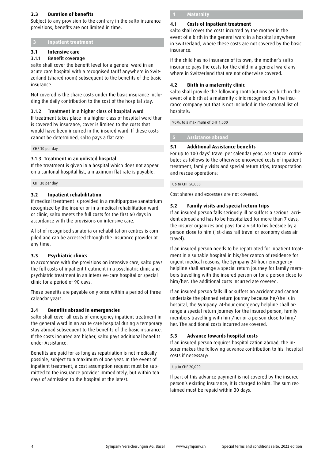## **2.3 Duration of benefits**

Subject to any provision to the contrary in the salto insurance provisions, benefits are not limited in time.

## **3 Inpatient treatment**

## **3.1 Intensive care**

## 3.1.1 Benefit coverage

salto shall cover the benefit level for a general ward in an acute care hospital with a recognised tariff anywhere in Switzerland (shared room) subsequent to the benefits of the basic insurance.

Not covered is the share costs under the basic insurance including the daily contribution to the cost of the hospital stay.

## 3.1.2 Treatment in a higher class of hospital ward

If treatment takes place in a higher class of hospital ward than is covered by insurance, cover is limited to the costs that would have been incurred in the insured ward. If these costs cannot be determined, salto pays a flat rate

#### CHF 30 per day

## 3.1.3 Treatment in an unlisted hospital

If the treatment is given in a hospital which does not appear on a cantonal hospital list, a maximum flat rate is payable.

CHF 30 per day

## **3.2 Inpatient rehabilitation**

If medical treatment is provided in a multipurpose sanatorium recognized by the insurer or in a medical rehabilitation ward or clinic, salto meets the full costs for the first 60 days in accordance with the provisions on intensive care.

A list of recognised sanatoria or rehabilitation centres is compiled and can be accessed through the insurance provider at any time.

## **3.3 Psychiatric clinics**

In accordance with the provisions on intensive care, salto pays the full costs of inpatient treatment in a psychiatric clinic and psychiatric treatment in an intensive-care hospital or special clinic for a period of 90 days.

These benefits are payable only once within a period of three calendar years.

### **3.4 Benefits abroad in emergencies**

salto shall cover all costs of emergency inpatient treatment in the general ward in an acute care hospital during a temporary stay abroad subsequent to the benefits of the basic insurance. If the costs incurred are higher, salto pays additional benefits under Assistance.

Benefits are paid for as long as repatriation is not medically possible, subject to a maximum of one year. In the event of inpatient treatment, a cost assumption request must be submitted to the insurance provider immediately, but within ten days of admission to the hospital at the latest.

**Maternity** 

## **4.1 Costs of inpatient treatment**

salto shall cover the costs incurred by the mother in the event of a birth in the general ward in a hospital anywhere in Switzerland, where these costs are not covered by the basic insurance.

If the child has no insurance of its own, the mother's salto insurance pays the costs for the child in a general ward anywhere in Switzerland that are not otherwise covered.

## **4.2 Birth in a maternity clinic**

salto shall provide the following contributions per birth in the event of a birth at a maternity clinic recognised by the insurance company but that is not included in the cantonal list of hospitals:

90%, to a maximum of CHF 1,000

## **5 Assistance abroad**

## **5.1 Additional Assistance benefits**

For up to 100 days' travel per calendar year, Assistance contributes as follows to the otherwise uncovered costs of inpatient treatment, family visits and special return trips, transportation and rescue operations:

Up to CHF 50,000

Cost shares and excesses are not covered.

## **5.2 Family visits and special return trips**

If an insured person falls seriously ill or suffers a serious accident abroad and has to be hospitalized for more than 7 days, the insurer organizes and pays for a visit to his bedside by a person close to him (1st-class rail travel or economy class air travel).

If an insured person needs to be repatriated for inpatient treatment in a suitable hospital in his/her canton of residence for urgent medical reasons, the Sympany 24-hour emergency helpline shall arrange a special return journey for family members travelling with the insured person or for a person close to him/her. The additional costs incurred are covered.

If an insured person falls ill or suffers an accident and cannot undertake the planned return journey because he/she is in hospital, the Sympany 24-hour emergency helpline shall arrange a special return journey for the insured person, family members travelling with him/her or a person close to him/ her. The additional costs incurred are covered.

### **5.3 Advance towards hospital costs**

If an insured person requires hospitalization abroad, the insurer makes the following advance contribution to his hospital costs if necessary:

#### Up to CHF 20,000

If part of this advance payment is not covered by the insured person's existing insurance, it is charged to him. The sum reclaimed must be repaid within 30 days.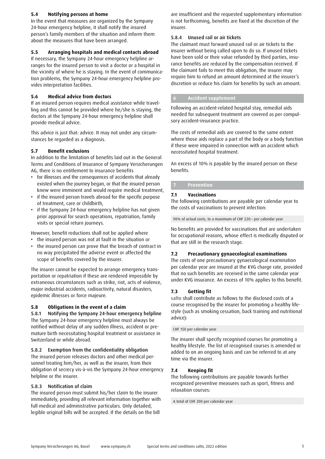## **5.4 Notifying persons at home**

In the event that measures are organized by the Sympany 24-hour emergency helpline, it shall notify the insured person's family members of the situation and inform them about the measures that have been arranged.

## **5.5 Arranging hospitals and medical contacts abroad**

If necessary, the Sympany 24-hour emergency helpline arranges for the insured person to visit a doctor or a hospital in the vicinity of where he is staying. In the event of communication problems, the Sympany 24-hour emergency helpline provides interpretation facilities.

## **5.6 Medical advice from doctors**

If an insured person requires medical assistance while travelling and this cannot be provided where he/she is staying, the doctors at the Sympany 24-hour emergency helpline shall provide medical advice.

This advice is just that: advice. It may not under any circumstances be regarded as a diagnosis.

## **5.7 Benefit exclusions**

In addition to the limitation of benefits laid out in the General Terms and Conditions of Insurance of Sympany Versicherungen AG, there is no entitlement to insurance benefits

- for illnesses and the consequences of accidents that already existed when the journey began, or that the insured person knew were imminent and would require medical treatment,
- if the insured person travels abroad for the specific purpose of treatment, care or childbirth,
- if the Sympany 24-hour emergency helpline has not given prior approval for search operations, repatriation, family visits or special return journeys.

However, benefit reductions shall not be applied where

- the insured person was not at fault in the situation or
- the insured person can prove that the breach of contract in no way precipitated the adverse event or affected the scope of benefits covered by the insurer.

The insurer cannot be expected to arrange emergency transportation or repatriation if these are rendered impossible by extraneous circumstances such as strike, riot, acts of violence, major industrial accidents, radioactivity, natural disasters, epidemic illnesses or force majeure.

## **5.8 Obligations in the event of a claim**

5.8.1 Notifying the Sympany 24-hour emergency helpline The Sympany 24-hour emergency helpline must always be notified without delay of any sudden illness, accident or premature birth necessitating hospital treatment or assistance in Switzerland or while abroad.

## 5.8.2 Exemption from the confidentiality obligation

The insured person releases doctors and other medical personnel treating him/her, as well as the insurer, from their obligation of secrecy vis-à-vis the Sympany 24-hour emergency helpline or the insurer.

## 5.8.3 Notification of claim

The insured person must submit his/her claim to the insurer immediately, providing all relevant information together with full medical and administrative particulars. Only detailed, legible original bills will be accepted. If the details on the bill

are insufficient and the requested supplementary information is not forthcoming, benefits are fixed at the discretion of the insurer.

## 5.8.4 Unused rail or air tickets

The claimant must forward unused rail or air tickets to the insurer without being called upon to do so. If unused tickets have been sold or their value refunded by third parties, insurance benefits are reduced by the compensation received. If the claimant fails to meet this obligation, the insurer may require him to refund an amount determined at the insurer's discretion or reduce his claim for benefits by such an amount.

## **6 Accident supplement**

Following an accident-related hospital stay, remedial aids needed for subsequent treatment are covered as per compulsory accident-insurance practice.

The costs of remedial aids are covered to the same extent where those aids replace a part of the body or a body function if these were impaired in connection with an accident which necessitated hospital treatment.

An excess of 10% is payable by the insured person on these benefits.

## **7 Prevention**

## **7.1 Vaccinations**

The following contributions are payable per calendar year to the costs of vaccinations to prevent infection:

90% of actual costs, to a maximum of CHF 220.– per calendar year

No benefits are provided for vaccinations that are undertaken for occupational reasons, whose effect is medically disputed or that are still in the research stage.

## **7.2 Precautionary gynaecological examinations**

The costs of one precautionary gynaecological examination per calendar year are insured at the KVG charge rate, provided that no such benefits are received in the same calendar year under KVG insurance. An excess of 10% applies to this benefit.

### **7.3 Getting fit**

salto shall contribute as follows to the disclosed costs of a course recognised by the insurer for promoting a healthy lifestyle (such as smoking cessation, back training and nutritional advice):

CHF 150 per calendar year

The insurer shall specify recognised courses for promoting a healthy lifestyle. The list of recognised courses is amended or added to on an ongoing basis and can be referred to at any time via the insurer.

## **7.4 Keeping fit**

The following contributions are payable towards further recognized preventive measures such as sport, fitness and relaxation courses:

## A total of CHF 200 per calendar year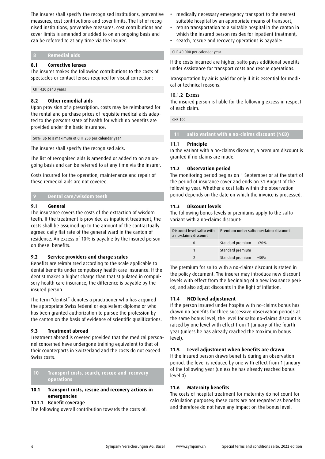The insurer shall specify the recognised institutions, preventive measures, cost contributions and cover limits. The list of recognised institutions, preventive measures, cost contributions and cover limits is amended or added to on an ongoing basis and can be referred to at any time via the insurer.

## **8 Remedial aids**

## **8.1 Corrective lenses**

The insurer makes the following contributions to the costs of spectacles or contact lenses required for visual correction:

CHF 420 per 3 years

## **8.2 Other remedial aids**

Upon provision of a prescription, costs may be reimbursed for the rental and purchase prices of requisite medical aids adapted to the person's state of health for which no benefits are provided under the basic insurance:

50%, up to a maximum of CHF 250 per calendar year

The insurer shall specify the recognised aids.

The list of recognised aids is amended or added to on an ongoing basis and can be referred to at any time via the insurer.

Costs incurred for the operation, maintenance and repair of these remedial aids are not covered.

## **9 Dental care/wisdom teeth**

### **9.1 General**

The insurance covers the costs of the extraction of wisdom teeth. If the treatment is provided as inpatient treatment, the costs shall be assumed up to the amount of the contractually agreed daily flat rate of the general ward in the canton of residence. An excess of 10% is payable by the insured person on these benefits.

## **9.2 Service providers and charge scales**

Benefits are reimbursed according to the scale applicable to dental benefits under compulsory health care insurance. If the dentist makes a higher charge than that stipulated in compulsory health care insurance, the difference is payable by the insured person.

The term "dentist" denotes a practitioner who has acquired the appropriate Swiss federal or equivalent diploma or who has been granted authorization to pursue the profession by the canton on the basis of evidence of scientific qualifications.

## **9.3 Treatment abroad**

Treatment abroad is covered provided that the medical personnel concerned have undergone training equivalent to that of their counterparts in Switzerland and the costs do not exceed Swiss costs.

**10 Transport costs, search, rescue and recovery operations** 

## **10.1 Transport costs, rescue and recovery actions in emergencies**

## 10.1.1 Benefit coverage

The following overall contribution towards the costs of:

- medically necessary emergency transport to the nearest suitable hospital by an appropriate means of transport,
- return transportation to a suitable hospital in the canton in which the insured person resides for inpatient treatment,
- search, rescue and recovery operations is payable:

CHF 40 000 per calendar year

If the costs incurred are higher, salto pays additional benefits under Assistance for transport costs and rescue operations.

Transportation by air is paid for only if it is essential for medical or technical reasons.

#### 10.1.2 Excess

The insured person is liable for the following excess in respect of each claim:

CHF 100

 **11 salto variant with a no-claims discount (NCD)** 

### **11.1 Principle**

In the variant with a no-claims discount, a premium discount is granted if no claims are made.

## **11.2 Observation period**

The monitoring period begins on 1 September or at the start of the period of insurance cover and ends on 31 August of the following year. Whether a cost falls within the observation period depends on the date on which the invoice is processed.

## **11.3 Discount levels**

The following bonus levels or premiums apply to the salto variant with a no-claims discount:

| Discount level salto with<br>a no-claims discount | Premium under salto no-claims discount |        |  |
|---------------------------------------------------|----------------------------------------|--------|--|
|                                                   | Standard premium                       | $+20%$ |  |
|                                                   | Standard premium                       |        |  |
|                                                   | Standard premium                       | $-30%$ |  |

The premium for salto with a no-claims discount is stated in the policy document. The insurer may introduce new discount levels with effect from the beginning of a new insurance period, and also adjust discounts in the light of inflation.

### **11.4 NCD level adjustment**

If the person insured under hospita with no-claims bonus has drawn no benefits for three successive observation periods at the same bonus level, the level for salto no-claims discount is raised by one level with effect from 1 January of the fourth year (unless he has already reached the maximum bonus level).

### **11.5 Level adjustment when benefits are drawn**

If the insured person draws benefits during an observation period, the level is reduced by one with effect from 1 January of the following year (unless he has already reached bonus level 0).

### **11.6 Maternity benefits**

The costs of hospital treatment for maternity do not count for calculation purposes; these costs are not regarded as benefits and therefore do not have any impact on the bonus level.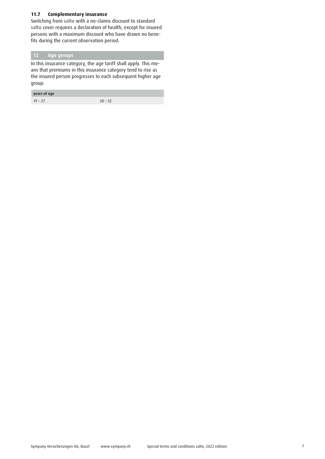## **11.7 Complementary insurance**

Switching from salto with a no-claims discount to standard salto cover requires a declaration of health, except for insured persons with a maximum discount who have drawn no benefits during the current observation period.

## **12 Age groups**

In this insurance category, the age tariff shall apply. This means that premiums in this insurance category tend to rise as the insured person progresses to each subsequent higher age group:

## years of age

19 – 27 28 – 32